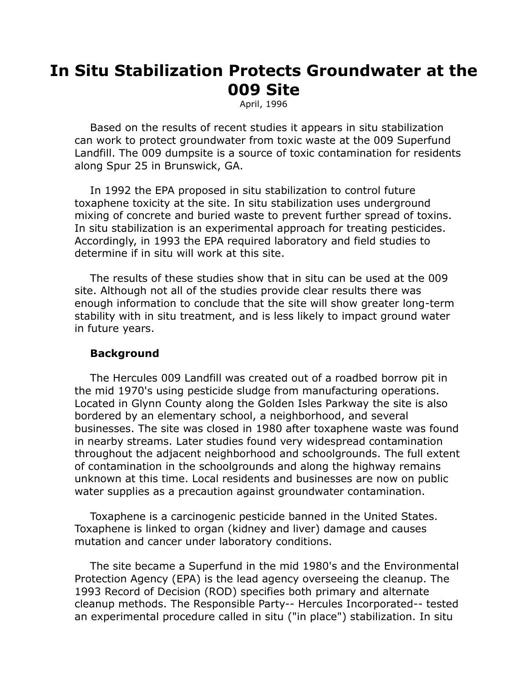# **In Situ Stabilization Protects Groundwater at the 009 Site**

April, 1996

 Based on the results of recent studies it appears in situ stabilization can work to protect groundwater from toxic waste at the 009 Superfund Landfill. The 009 dumpsite is a source of toxic contamination for residents along Spur 25 in Brunswick, GA.

 In 1992 the EPA proposed in situ stabilization to control future toxaphene toxicity at the site. In situ stabilization uses underground mixing of concrete and buried waste to prevent further spread of toxins. In situ stabilization is an experimental approach for treating pesticides. Accordingly, in 1993 the EPA required laboratory and field studies to determine if in situ will work at this site.

 The results of these studies show that in situ can be used at the 009 site. Although not all of the studies provide clear results there was enough information to conclude that the site will show greater long-term stability with in situ treatment, and is less likely to impact ground water in future years.

### **Background**

 The Hercules 009 Landfill was created out of a roadbed borrow pit in the mid 1970's using pesticide sludge from manufacturing operations. Located in Glynn County along the Golden Isles Parkway the site is also bordered by an elementary school, a neighborhood, and several businesses. The site was closed in 1980 after toxaphene waste was found in nearby streams. Later studies found very widespread contamination throughout the adjacent neighborhood and schoolgrounds. The full extent of contamination in the schoolgrounds and along the highway remains unknown at this time. Local residents and businesses are now on public water supplies as a precaution against groundwater contamination.

 Toxaphene is a carcinogenic pesticide banned in the United States. Toxaphene is linked to organ (kidney and liver) damage and causes mutation and cancer under laboratory conditions.

 The site became a Superfund in the mid 1980's and the Environmental Protection Agency (EPA) is the lead agency overseeing the cleanup. The 1993 Record of Decision (ROD) specifies both primary and alternate cleanup methods. The Responsible Party-- Hercules Incorporated-- tested an experimental procedure called in situ ("in place") stabilization. In situ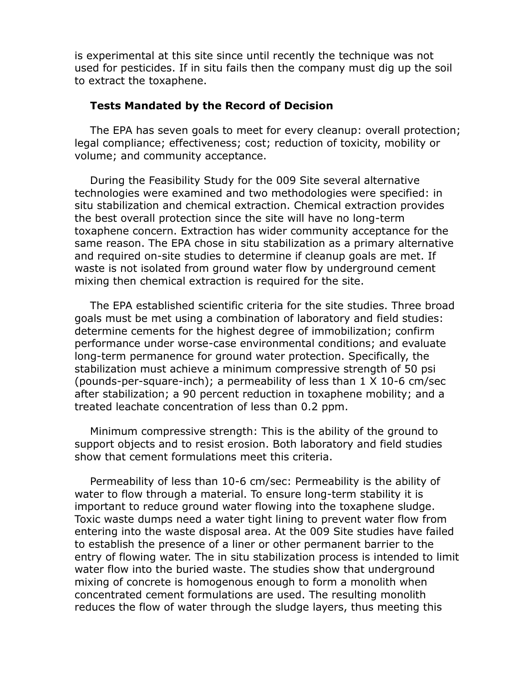is experimental at this site since until recently the technique was not used for pesticides. If in situ fails then the company must dig up the soil to extract the toxaphene.

# **Tests Mandated by the Record of Decision**

 The EPA has seven goals to meet for every cleanup: overall protection; legal compliance; effectiveness; cost; reduction of toxicity, mobility or volume; and community acceptance.

 During the Feasibility Study for the 009 Site several alternative technologies were examined and two methodologies were specified: in situ stabilization and chemical extraction. Chemical extraction provides the best overall protection since the site will have no long-term toxaphene concern. Extraction has wider community acceptance for the same reason. The EPA chose in situ stabilization as a primary alternative and required on-site studies to determine if cleanup goals are met. If waste is not isolated from ground water flow by underground cement mixing then chemical extraction is required for the site.

 The EPA established scientific criteria for the site studies. Three broad goals must be met using a combination of laboratory and field studies: determine cements for the highest degree of immobilization; confirm performance under worse-case environmental conditions; and evaluate long-term permanence for ground water protection. Specifically, the stabilization must achieve a minimum compressive strength of 50 psi (pounds-per-square-inch); a permeability of less than 1 X 10-6 cm/sec after stabilization; a 90 percent reduction in toxaphene mobility; and a treated leachate concentration of less than 0.2 ppm.

 Minimum compressive strength: This is the ability of the ground to support objects and to resist erosion. Both laboratory and field studies show that cement formulations meet this criteria.

 Permeability of less than 10-6 cm/sec: Permeability is the ability of water to flow through a material. To ensure long-term stability it is important to reduce ground water flowing into the toxaphene sludge. Toxic waste dumps need a water tight lining to prevent water flow from entering into the waste disposal area. At the 009 Site studies have failed to establish the presence of a liner or other permanent barrier to the entry of flowing water. The in situ stabilization process is intended to limit water flow into the buried waste. The studies show that underground mixing of concrete is homogenous enough to form a monolith when concentrated cement formulations are used. The resulting monolith reduces the flow of water through the sludge layers, thus meeting this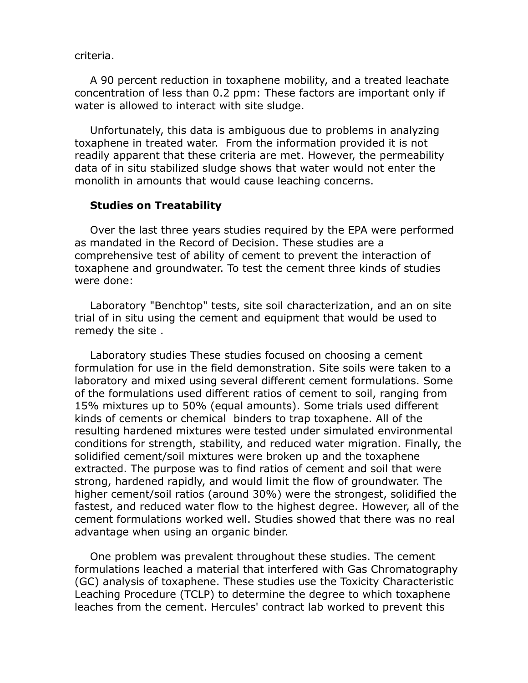criteria.

 A 90 percent reduction in toxaphene mobility, and a treated leachate concentration of less than 0.2 ppm: These factors are important only if water is allowed to interact with site sludge.

 Unfortunately, this data is ambiguous due to problems in analyzing toxaphene in treated water. From the information provided it is not readily apparent that these criteria are met. However, the permeability data of in situ stabilized sludge shows that water would not enter the monolith in amounts that would cause leaching concerns.

#### **Studies on Treatability**

 Over the last three years studies required by the EPA were performed as mandated in the Record of Decision. These studies are a comprehensive test of ability of cement to prevent the interaction of toxaphene and groundwater. To test the cement three kinds of studies were done:

 Laboratory "Benchtop" tests, site soil characterization, and an on site trial of in situ using the cement and equipment that would be used to remedy the site .

 Laboratory studies These studies focused on choosing a cement formulation for use in the field demonstration. Site soils were taken to a laboratory and mixed using several different cement formulations. Some of the formulations used different ratios of cement to soil, ranging from 15% mixtures up to 50% (equal amounts). Some trials used different kinds of cements or chemical binders to trap toxaphene. All of the resulting hardened mixtures were tested under simulated environmental conditions for strength, stability, and reduced water migration. Finally, the solidified cement/soil mixtures were broken up and the toxaphene extracted. The purpose was to find ratios of cement and soil that were strong, hardened rapidly, and would limit the flow of groundwater. The higher cement/soil ratios (around 30%) were the strongest, solidified the fastest, and reduced water flow to the highest degree. However, all of the cement formulations worked well. Studies showed that there was no real advantage when using an organic binder.

 One problem was prevalent throughout these studies. The cement formulations leached a material that interfered with Gas Chromatography (GC) analysis of toxaphene. These studies use the Toxicity Characteristic Leaching Procedure (TCLP) to determine the degree to which toxaphene leaches from the cement. Hercules' contract lab worked to prevent this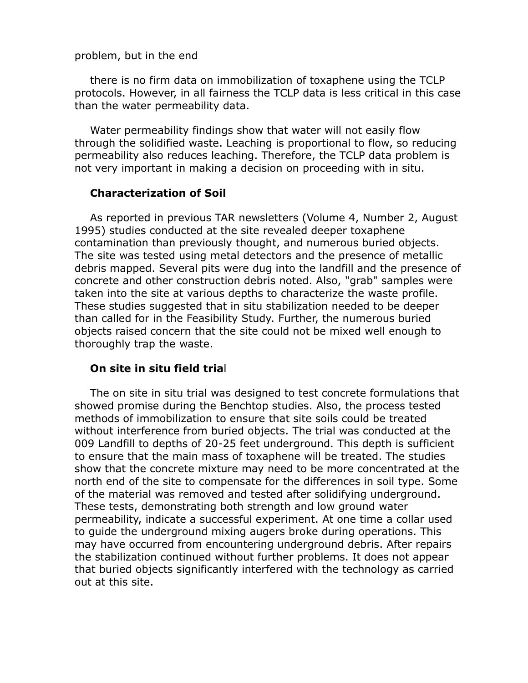#### problem, but in the end

 there is no firm data on immobilization of toxaphene using the TCLP protocols. However, in all fairness the TCLP data is less critical in this case than the water permeability data.

 Water permeability findings show that water will not easily flow through the solidified waste. Leaching is proportional to flow, so reducing permeability also reduces leaching. Therefore, the TCLP data problem is not very important in making a decision on proceeding with in situ.

# **Characterization of Soil**

 As reported in previous TAR newsletters (Volume 4, Number 2, August 1995) studies conducted at the site revealed deeper toxaphene contamination than previously thought, and numerous buried objects. The site was tested using metal detectors and the presence of metallic debris mapped. Several pits were dug into the landfill and the presence of concrete and other construction debris noted. Also, "grab" samples were taken into the site at various depths to characterize the waste profile. These studies suggested that in situ stabilization needed to be deeper than called for in the Feasibility Study. Further, the numerous buried objects raised concern that the site could not be mixed well enough to thoroughly trap the waste.

### **On site in situ field tria**l

 The on site in situ trial was designed to test concrete formulations that showed promise during the Benchtop studies. Also, the process tested methods of immobilization to ensure that site soils could be treated without interference from buried objects. The trial was conducted at the 009 Landfill to depths of 20-25 feet underground. This depth is sufficient to ensure that the main mass of toxaphene will be treated. The studies show that the concrete mixture may need to be more concentrated at the north end of the site to compensate for the differences in soil type. Some of the material was removed and tested after solidifying underground. These tests, demonstrating both strength and low ground water permeability, indicate a successful experiment. At one time a collar used to guide the underground mixing augers broke during operations. This may have occurred from encountering underground debris. After repairs the stabilization continued without further problems. It does not appear that buried objects significantly interfered with the technology as carried out at this site.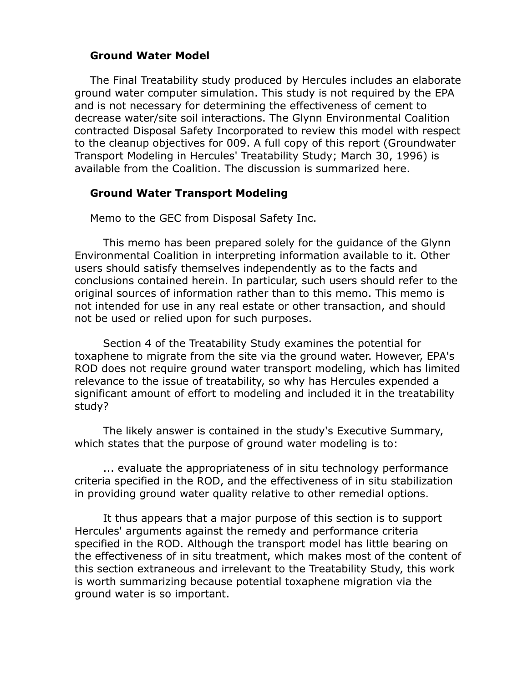# **Ground Water Model**

 The Final Treatability study produced by Hercules includes an elaborate ground water computer simulation. This study is not required by the EPA and is not necessary for determining the effectiveness of cement to decrease water/site soil interactions. The Glynn Environmental Coalition contracted Disposal Safety Incorporated to review this model with respect to the cleanup objectives for 009. A full copy of this report (Groundwater Transport Modeling in Hercules' Treatability Study; March 30, 1996) is available from the Coalition. The discussion is summarized here.

### **Ground Water Transport Modeling**

Memo to the GEC from Disposal Safety Inc.

 This memo has been prepared solely for the guidance of the Glynn Environmental Coalition in interpreting information available to it. Other users should satisfy themselves independently as to the facts and conclusions contained herein. In particular, such users should refer to the original sources of information rather than to this memo. This memo is not intended for use in any real estate or other transaction, and should not be used or relied upon for such purposes.

 Section 4 of the Treatability Study examines the potential for toxaphene to migrate from the site via the ground water. However, EPA's ROD does not require ground water transport modeling, which has limited relevance to the issue of treatability, so why has Hercules expended a significant amount of effort to modeling and included it in the treatability study?

 The likely answer is contained in the study's Executive Summary, which states that the purpose of ground water modeling is to:

 ... evaluate the appropriateness of in situ technology performance criteria specified in the ROD, and the effectiveness of in situ stabilization in providing ground water quality relative to other remedial options.

 It thus appears that a major purpose of this section is to support Hercules' arguments against the remedy and performance criteria specified in the ROD. Although the transport model has little bearing on the effectiveness of in situ treatment, which makes most of the content of this section extraneous and irrelevant to the Treatability Study, this work is worth summarizing because potential toxaphene migration via the ground water is so important.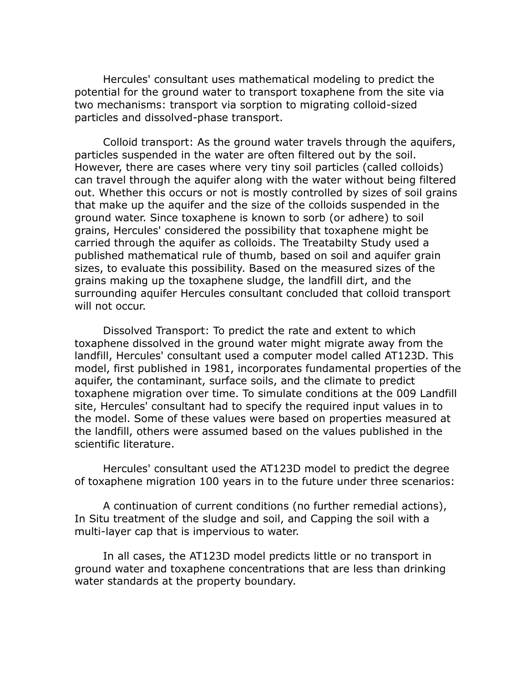Hercules' consultant uses mathematical modeling to predict the potential for the ground water to transport toxaphene from the site via two mechanisms: transport via sorption to migrating colloid-sized particles and dissolved-phase transport.

 Colloid transport: As the ground water travels through the aquifers, particles suspended in the water are often filtered out by the soil. However, there are cases where very tiny soil particles (called colloids) can travel through the aquifer along with the water without being filtered out. Whether this occurs or not is mostly controlled by sizes of soil grains that make up the aquifer and the size of the colloids suspended in the ground water. Since toxaphene is known to sorb (or adhere) to soil grains, Hercules' considered the possibility that toxaphene might be carried through the aquifer as colloids. The Treatabilty Study used a published mathematical rule of thumb, based on soil and aquifer grain sizes, to evaluate this possibility. Based on the measured sizes of the grains making up the toxaphene sludge, the landfill dirt, and the surrounding aquifer Hercules consultant concluded that colloid transport will not occur.

 Dissolved Transport: To predict the rate and extent to which toxaphene dissolved in the ground water might migrate away from the landfill, Hercules' consultant used a computer model called AT123D. This model, first published in 1981, incorporates fundamental properties of the aquifer, the contaminant, surface soils, and the climate to predict toxaphene migration over time. To simulate conditions at the 009 Landfill site, Hercules' consultant had to specify the required input values in to the model. Some of these values were based on properties measured at the landfill, others were assumed based on the values published in the scientific literature.

 Hercules' consultant used the AT123D model to predict the degree of toxaphene migration 100 years in to the future under three scenarios:

 A continuation of current conditions (no further remedial actions), In Situ treatment of the sludge and soil, and Capping the soil with a multi-layer cap that is impervious to water.

 In all cases, the AT123D model predicts little or no transport in ground water and toxaphene concentrations that are less than drinking water standards at the property boundary.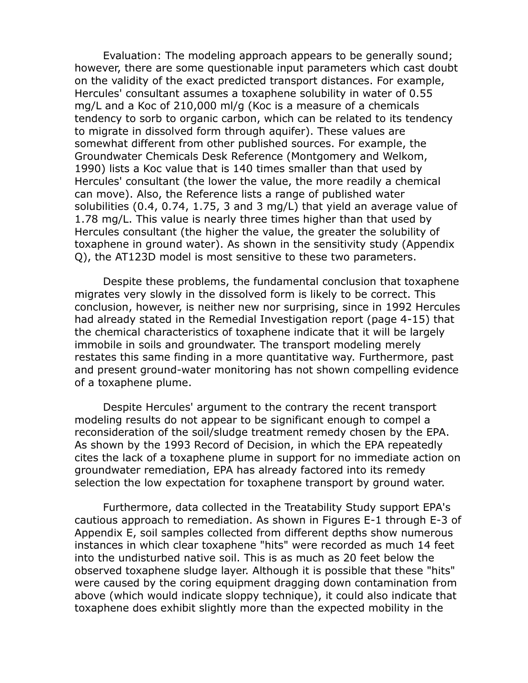Evaluation: The modeling approach appears to be generally sound; however, there are some questionable input parameters which cast doubt on the validity of the exact predicted transport distances. For example, Hercules' consultant assumes a toxaphene solubility in water of 0.55 mg/L and a Koc of 210,000 ml/g (Koc is a measure of a chemicals tendency to sorb to organic carbon, which can be related to its tendency to migrate in dissolved form through aquifer). These values are somewhat different from other published sources. For example, the Groundwater Chemicals Desk Reference (Montgomery and Welkom, 1990) lists a Koc value that is 140 times smaller than that used by Hercules' consultant (the lower the value, the more readily a chemical can move). Also, the Reference lists a range of published water solubilities (0.4, 0.74, 1.75, 3 and 3 mg/L) that yield an average value of 1.78 mg/L. This value is nearly three times higher than that used by Hercules consultant (the higher the value, the greater the solubility of toxaphene in ground water). As shown in the sensitivity study (Appendix Q), the AT123D model is most sensitive to these two parameters.

 Despite these problems, the fundamental conclusion that toxaphene migrates very slowly in the dissolved form is likely to be correct. This conclusion, however, is neither new nor surprising, since in 1992 Hercules had already stated in the Remedial Investigation report (page 4-15) that the chemical characteristics of toxaphene indicate that it will be largely immobile in soils and groundwater. The transport modeling merely restates this same finding in a more quantitative way. Furthermore, past and present ground-water monitoring has not shown compelling evidence of a toxaphene plume.

 Despite Hercules' argument to the contrary the recent transport modeling results do not appear to be significant enough to compel a reconsideration of the soil/sludge treatment remedy chosen by the EPA. As shown by the 1993 Record of Decision, in which the EPA repeatedly cites the lack of a toxaphene plume in support for no immediate action on groundwater remediation, EPA has already factored into its remedy selection the low expectation for toxaphene transport by ground water.

 Furthermore, data collected in the Treatability Study support EPA's cautious approach to remediation. As shown in Figures E-1 through E-3 of Appendix E, soil samples collected from different depths show numerous instances in which clear toxaphene "hits" were recorded as much 14 feet into the undisturbed native soil. This is as much as 20 feet below the observed toxaphene sludge layer. Although it is possible that these "hits" were caused by the coring equipment dragging down contamination from above (which would indicate sloppy technique), it could also indicate that toxaphene does exhibit slightly more than the expected mobility in the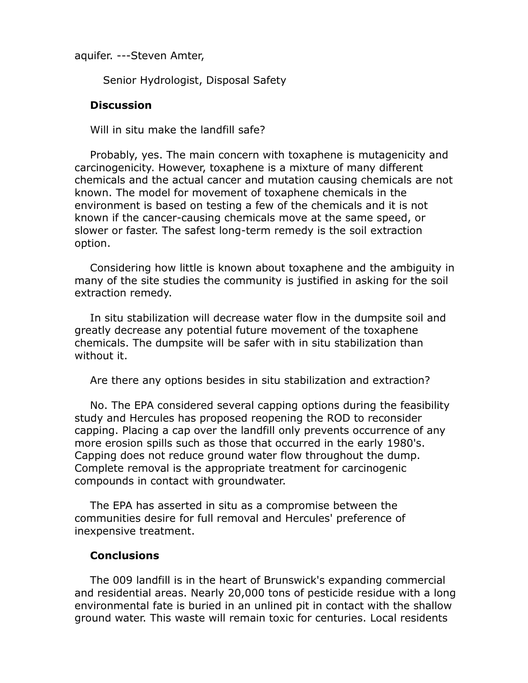aquifer. ---Steven Amter,

Senior Hydrologist, Disposal Safety

# **Discussion**

Will in situ make the landfill safe?

 Probably, yes. The main concern with toxaphene is mutagenicity and carcinogenicity. However, toxaphene is a mixture of many different chemicals and the actual cancer and mutation causing chemicals are not known. The model for movement of toxaphene chemicals in the environment is based on testing a few of the chemicals and it is not known if the cancer-causing chemicals move at the same speed, or slower or faster. The safest long-term remedy is the soil extraction option.

 Considering how little is known about toxaphene and the ambiguity in many of the site studies the community is justified in asking for the soil extraction remedy.

 In situ stabilization will decrease water flow in the dumpsite soil and greatly decrease any potential future movement of the toxaphene chemicals. The dumpsite will be safer with in situ stabilization than without it.

Are there any options besides in situ stabilization and extraction?

 No. The EPA considered several capping options during the feasibility study and Hercules has proposed reopening the ROD to reconsider capping. Placing a cap over the landfill only prevents occurrence of any more erosion spills such as those that occurred in the early 1980's. Capping does not reduce ground water flow throughout the dump. Complete removal is the appropriate treatment for carcinogenic compounds in contact with groundwater.

 The EPA has asserted in situ as a compromise between the communities desire for full removal and Hercules' preference of inexpensive treatment.

## **Conclusions**

 The 009 landfill is in the heart of Brunswick's expanding commercial and residential areas. Nearly 20,000 tons of pesticide residue with a long environmental fate is buried in an unlined pit in contact with the shallow ground water. This waste will remain toxic for centuries. Local residents